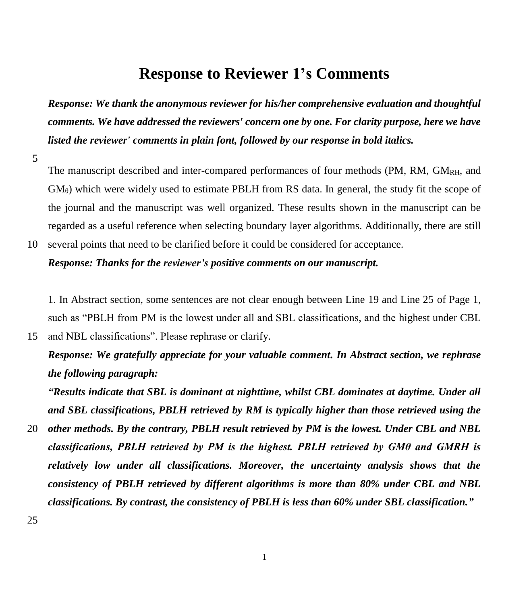## **Response to Reviewer 1's Comments**

*Response: We thank the anonymous reviewer for his/her comprehensive evaluation and thoughtful comments. We have addressed the reviewers' concern one by one. For clarity purpose, here we have listed the reviewer' comments in plain font, followed by our response in bold italics.*

5

The manuscript described and inter-compared performances of four methods (PM, RM, GM<sub>RH</sub>, and  $GM<sub>θ</sub>$ ) which were widely used to estimate PBLH from RS data. In general, the study fit the scope of the journal and the manuscript was well organized. These results shown in the manuscript can be regarded as a useful reference when selecting boundary layer algorithms. Additionally, there are still 10 several points that need to be clarified before it could be considered for acceptance.

#### *Response: Thanks for the reviewer's positive comments on our manuscript.*

15 and NBL classifications". Please rephrase or clarify.

1. In Abstract section, some sentences are not clear enough between Line 19 and Line 25 of Page 1, such as "PBLH from PM is the lowest under all and SBL classifications, and the highest under CBL

*Response: We gratefully appreciate for your valuable comment. In Abstract section, we rephrase the following paragraph:*

*"Results indicate that SBL is dominant at nighttime, whilst CBL dominates at daytime. Under all and SBL classifications, PBLH retrieved by RM is typically higher than those retrieved using the* 

20 *other methods. By the contrary, PBLH result retrieved by PM is the lowest. Under CBL and NBL classifications, PBLH retrieved by PM is the highest. PBLH retrieved by GMθ and GMRH is relatively low under all classifications. Moreover, the uncertainty analysis shows that the consistency of PBLH retrieved by different algorithms is more than 80% under CBL and NBL classifications. By contrast, the consistency of PBLH is less than 60% under SBL classification."*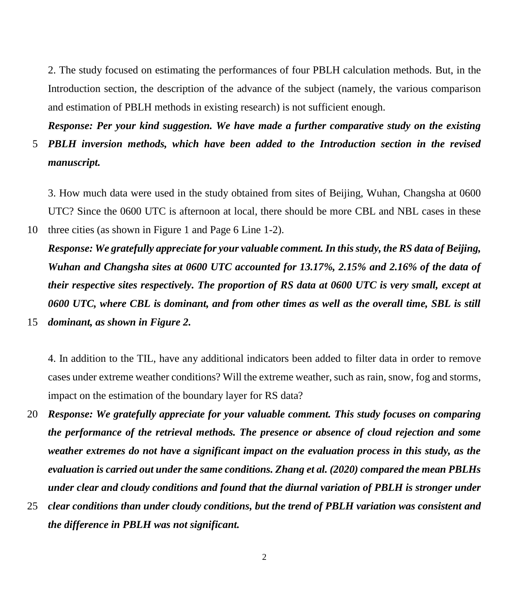2. The study focused on estimating the performances of four PBLH calculation methods. But, in the Introduction section, the description of the advance of the subject (namely, the various comparison and estimation of PBLH methods in existing research) is not sufficient enough.

*Response: Per your kind suggestion. We have made a further comparative study on the existing* 5 *PBLH inversion methods, which have been added to the Introduction section in the revised* 

*manuscript.*

3. How much data were used in the study obtained from sites of Beijing, Wuhan, Changsha at 0600 UTC? Since the 0600 UTC is afternoon at local, there should be more CBL and NBL cases in these 10 three cities (as shown in Figure 1 and Page 6 Line 1-2).

*Response: We gratefully appreciate for your valuable comment. In this study, the RS data of Beijing, Wuhan and Changsha sites at 0600 UTC accounted for 13.17%, 2.15% and 2.16% of the data of their respective sites respectively. The proportion of RS data at 0600 UTC is very small, except at 0600 UTC, where CBL is dominant, and from other times as well as the overall time, SBL is still*  15 *dominant, as shown in Figure 2.*

4. In addition to the TIL, have any additional indicators been added to filter data in order to remove cases under extreme weather conditions? Will the extreme weather, such as rain, snow, fog and storms, impact on the estimation of the boundary layer for RS data?

- 20 *Response: We gratefully appreciate for your valuable comment. This study focuses on comparing the performance of the retrieval methods. The presence or absence of cloud rejection and some weather extremes do not have a significant impact on the evaluation process in this study, as the evaluation is carried out under the same conditions. Zhang et al. (2020) compared the mean PBLHs under clear and cloudy conditions and found that the diurnal variation of PBLH is stronger under*
- 25 *clear conditions than under cloudy conditions, but the trend of PBLH variation was consistent and the difference in PBLH was not significant.*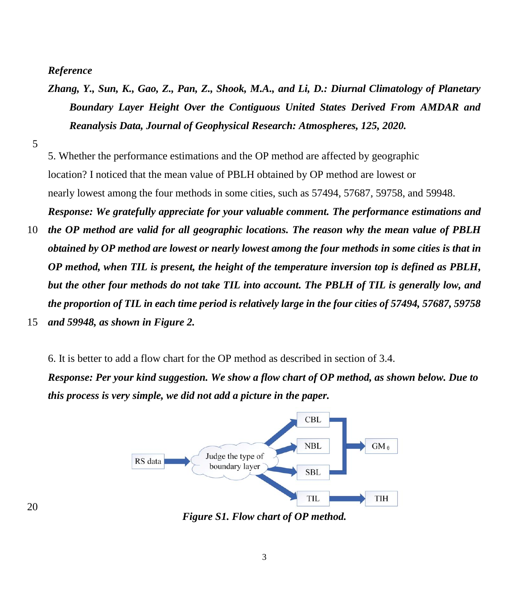### *Reference*

- *Zhang, Y., Sun, K., Gao, Z., Pan, Z., Shook, M.A., and Li, D.: Diurnal Climatology of Planetary Boundary Layer Height Over the Contiguous United States Derived From AMDAR and Reanalysis Data, Journal of Geophysical Research: Atmospheres, 125, 2020.*
- 5

5. Whether the performance estimations and the OP method are affected by geographic location? I noticed that the mean value of PBLH obtained by OP method are lowest or nearly lowest among the four methods in some cities, such as 57494, 57687, 59758, and 59948. *Response: We gratefully appreciate for your valuable comment. The performance estimations and* 

10 *the OP method are valid for all geographic locations. The reason why the mean value of PBLH obtained by OP method are lowest or nearly lowest among the four methods in some cities is that in OP method, when TIL is present, the height of the temperature inversion top is defined as PBLH, but the other four methods do not take TIL into account. The PBLH of TIL is generally low, and the proportion of TIL in each time period is relatively large in the four cities of 57494, 57687, 59758*  15 *and 59948, as shown in Figure 2.*

6. It is better to add a flow chart for the OP method as described in section of 3.4.

*Response: Per your kind suggestion. We show a flow chart of OP method, as shown below. Due to this process is very simple, we did not add a picture in the paper.*



*Figure S1. Flow chart of OP method.*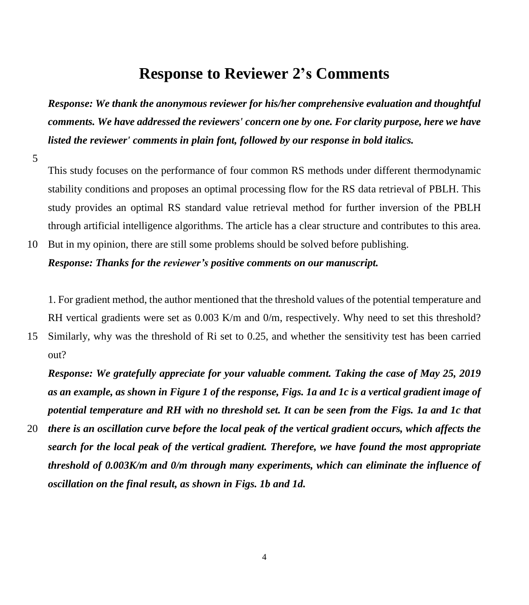## **Response to Reviewer 2's Comments**

*Response: We thank the anonymous reviewer for his/her comprehensive evaluation and thoughtful comments. We have addressed the reviewers' concern one by one. For clarity purpose, here we have listed the reviewer' comments in plain font, followed by our response in bold italics.*

5

This study focuses on the performance of four common RS methods under different thermodynamic stability conditions and proposes an optimal processing flow for the RS data retrieval of PBLH. This study provides an optimal RS standard value retrieval method for further inversion of the PBLH through artificial intelligence algorithms. The article has a clear structure and contributes to this area.

# 10 But in my opinion, there are still some problems should be solved before publishing.

*Response: Thanks for the reviewer's positive comments on our manuscript.* 

1. For gradient method, the author mentioned that the threshold values of the potential temperature and RH vertical gradients were set as 0.003 K/m and 0/m, respectively. Why need to set this threshold?

15 Similarly, why was the threshold of Ri set to 0.25, and whether the sensitivity test has been carried out?

*Response: We gratefully appreciate for your valuable comment. Taking the case of May 25, 2019 as an example, as shown in Figure 1 of the response, Figs. 1a and 1c is a vertical gradient image of potential temperature and RH with no threshold set. It can be seen from the Figs. 1a and 1c that* 

20 *there is an oscillation curve before the local peak of the vertical gradient occurs, which affects the search for the local peak of the vertical gradient. Therefore, we have found the most appropriate threshold of 0.003K/m and 0/m through many experiments, which can eliminate the influence of oscillation on the final result, as shown in Figs. 1b and 1d.*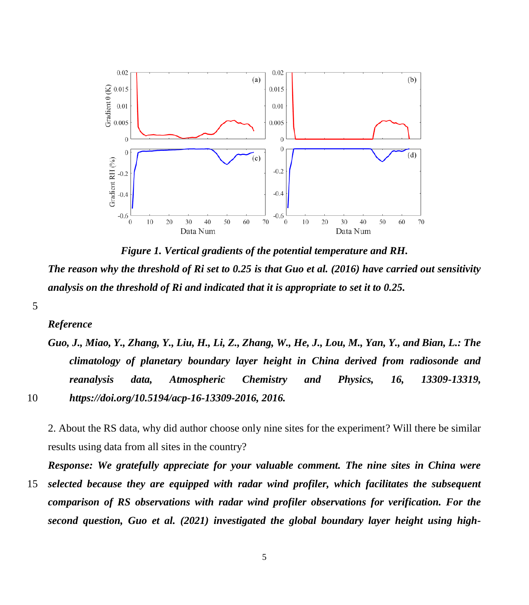

*Figure 1. Vertical gradients of the potential temperature and RH. The reason why the threshold of Ri set to 0.25 is that Guo et al. (2016) have carried out sensitivity analysis on the threshold of Ri and indicated that it is appropriate to set it to 0.25.*

#### *Reference*

*Guo, J., Miao, Y., Zhang, Y., Liu, H., Li, Z., Zhang, W., He, J., Lou, M., Yan, Y., and Bian, L.: The climatology of planetary boundary layer height in China derived from radiosonde and reanalysis data, Atmospheric Chemistry and Physics, 16, 13309-13319,*  10 *https://doi.org/10.5194/acp-16-13309-2016, 2016.*

2. About the RS data, why did author choose only nine sites for the experiment? Will there be similar results using data from all sites in the country?

*Response: We gratefully appreciate for your valuable comment. The nine sites in China were*  15 *selected because they are equipped with radar wind profiler, which facilitates the subsequent comparison of RS observations with radar wind profiler observations for verification. For the second question, Guo et al. (2021) investigated the global boundary layer height using high-*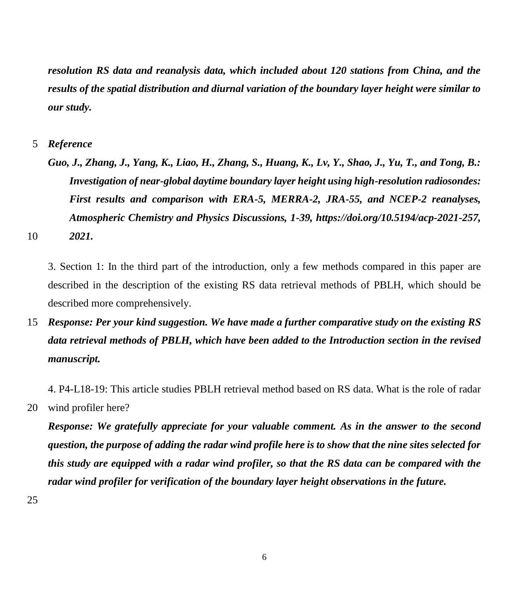*resolution RS data and reanalysis data, which included about 120 stations from China, and the results of the spatial distribution and diurnal variation of the boundary layer height were similar to our study.*

5 *Reference*

*Guo, J., Zhang, J., Yang, K., Liao, H., Zhang, S., Huang, K., Lv, Y., Shao, J., Yu, T., and Tong, B.: Investigation of near-global daytime boundary layer height using high-resolution radiosondes: First results and comparison with ERA-5, MERRA-2, JRA-55, and NCEP-2 reanalyses, Atmospheric Chemistry and Physics Discussions, 1-39, https://doi.org/10.5194/acp-2021-257,*  10 *2021.*

3. Section 1: In the third part of the introduction, only a few methods compared in this paper are described in the description of the existing RS data retrieval methods of PBLH, which should be described more comprehensively.

15 *Response: Per your kind suggestion. We have made a further comparative study on the existing RS data retrieval methods of PBLH, which have been added to the Introduction section in the revised manuscript.*

4. P4-L18-19: This article studies PBLH retrieval method based on RS data. What is the role of radar 20 wind profiler here?

*Response: We gratefully appreciate for your valuable comment. As in the answer to the second question, the purpose of adding the radar wind profile here is to show that the nine sites selected for this study are equipped with a radar wind profiler, so that the RS data can be compared with the radar wind profiler for verification of the boundary layer height observations in the future.*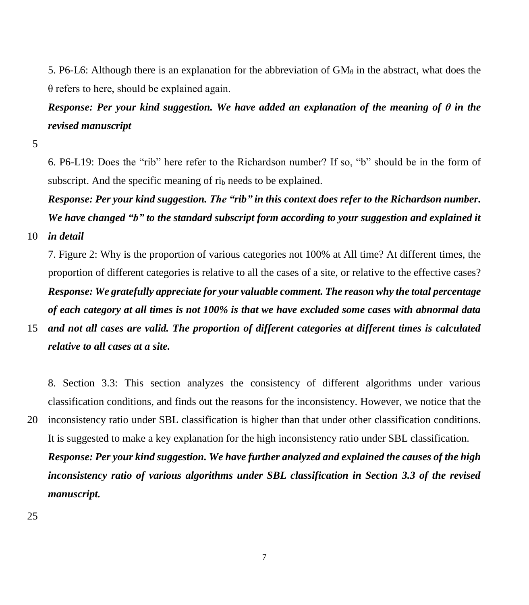5. P6-L6: Although there is an explanation for the abbreviation of  $GM_\theta$  in the abstract, what does the  $\theta$  refers to here, should be explained again.

# *Response: Per your kind suggestion. We have added an explanation of the meaning of θ in the revised manuscript*

5

6. P6-L19: Does the "rib" here refer to the Richardson number? If so, "b" should be in the form of subscript. And the specific meaning of ri<sub>b</sub> needs to be explained.

*Response: Per your kind suggestion. The "rib" in this context does refer to the Richardson number. We have changed "b" to the standard subscript form according to your suggestion and explained it* 

10 *in detail*

7. Figure 2: Why is the proportion of various categories not 100% at All time? At different times, the proportion of different categories is relative to all the cases of a site, or relative to the effective cases? *Response: We gratefully appreciate for your valuable comment. The reason why the total percentage of each category at all times is not 100% is that we have excluded some cases with abnormal data* 

15 *and not all cases are valid. The proportion of different categories at different times is calculated relative to all cases at a site.*

8. Section 3.3: This section analyzes the consistency of different algorithms under various classification conditions, and finds out the reasons for the inconsistency. However, we notice that the 20 inconsistency ratio under SBL classification is higher than that under other classification conditions.

It is suggested to make a key explanation for the high inconsistency ratio under SBL classification. *Response: Per your kind suggestion. We have further analyzed and explained the causes of the high inconsistency ratio of various algorithms under SBL classification in Section 3.3 of the revised manuscript.*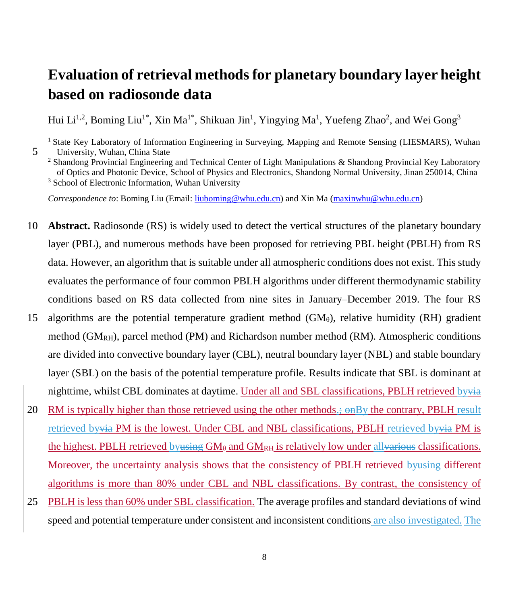# **Evaluation of retrieval methods for planetary boundary layer height based on radiosonde data**

Hui Li<sup>1,2</sup>, Boming Liu<sup>1\*</sup>, Xin Ma<sup>1\*</sup>, Shikuan Jin<sup>1</sup>, Yingying Ma<sup>1</sup>, Yuefeng Zhao<sup>2</sup>, and Wei Gong<sup>3</sup>

<sup>1</sup> State Key Laboratory of Information Engineering in Surveying, Mapping and Remote Sensing (LIESMARS), Wuhan 5 University, Wuhan, China State

*Correspondence to*: Boming Liu (Email: [liuboming@whu.edu.cn\)](mailto:liuboming@whu.edu.cn) and Xin Ma [\(maxinwhu@whu.edu.cn\)](mailto:maxinwhu@whu.edu.cn)

- 10 **Abstract.** Radiosonde (RS) is widely used to detect the vertical structures of the planetary boundary layer (PBL), and numerous methods have been proposed for retrieving PBL height (PBLH) from RS data. However, an algorithm that is suitable under all atmospheric conditions does not exist. This study evaluates the performance of four common PBLH algorithms under different thermodynamic stability conditions based on RS data collected from nine sites in January–December 2019. The four RS 15 algorithms are the potential temperature gradient method  $(GM_\theta)$ , relative humidity (RH) gradient method  $(GM_{RH})$ , parcel method (PM) and Richardson number method (RM). Atmospheric conditions are divided into convective boundary layer (CBL), neutral boundary layer (NBL) and stable boundary layer (SBL) on the basis of the potential temperature profile. Results indicate that SBL is dominant at nighttime, whilst CBL dominates at daytime. Under all and SBL classifications, PBLH retrieved byvia
- 20 RM is typically higher than those retrieved using the other methods.;  $\Theta$ mBy the contrary, PBLH result retrieved byvia PM is the lowest. Under CBL and NBL classifications, PBLH retrieved byvia PM is the highest. PBLH retrieved by using  $GM_\theta$  and  $GM_{RH}$  is relatively low under allvarious classifications. Moreover, the uncertainty analysis shows that the consistency of PBLH retrieved byusing different algorithms is more than 80% under CBL and NBL classifications. By contrast, the consistency of
- 25 PBLH is less than 60% under SBL classification. The average profiles and standard deviations of wind speed and potential temperature under consistent and inconsistent conditions are also investigated. The

<sup>2</sup> Shandong Provincial Engineering and Technical Center of Light Manipulations & Shandong Provincial Key Laboratory of Optics and Photonic Device, School of Physics and Electronics, Shandong Normal University, Jinan 250014, China <sup>3</sup> School of Electronic Information, Wuhan University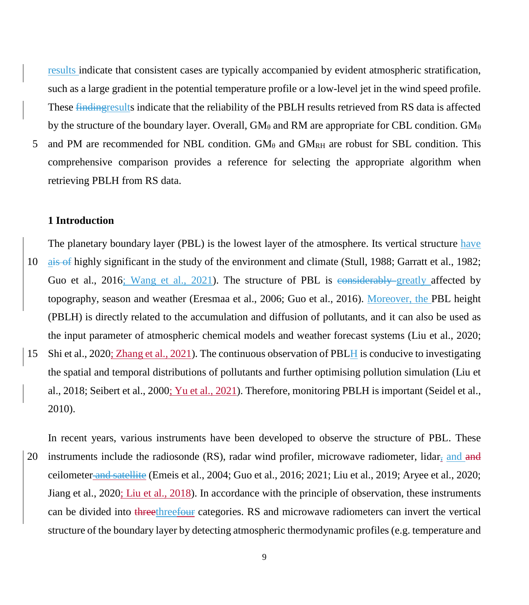results indicate that consistent cases are typically accompanied by evident atmospheric stratification, such as a large gradient in the potential temperature profile or a low-level jet in the wind speed profile. These findingresults indicate that the reliability of the PBLH results retrieved from RS data is affected by the structure of the boundary layer. Overall,  $GM_\theta$  and RM are appropriate for CBL condition.  $GM_\theta$ 

5 and PM are recommended for NBL condition.  $GM_\theta$  and  $GM_{RH}$  are robust for SBL condition. This comprehensive comparison provides a reference for selecting the appropriate algorithm when retrieving PBLH from RS data.

#### **1 Introduction**

- The planetary boundary layer (PBL) is the lowest layer of the atmosphere. Its vertical structure have 10 ais of highly significant in the study of the environment and climate (Stull, 1988; Garratt et al., 1982; Guo et al., 2016; Wang et al., 2021). The structure of PBL is considerably greatly affected by topography, season and weather (Eresmaa et al., 2006; Guo et al., 2016). Moreover, the PBL height (PBLH) is directly related to the accumulation and diffusion of pollutants, and it can also be used as the input parameter of atmospheric chemical models and weather forecast systems (Liu et al., 2020; 15 Shi et al., 2020; Zhang et al., 2021). The continuous observation of PBLH is conducive to investigating the spatial and temporal distributions of pollutants and further optimising pollution simulation (Liu et al., 2018; Seibert et al., 2000; Yu et al., 2021). Therefore, monitoring PBLH is important (Seidel et al., 2010).
- In recent years, various instruments have been developed to observe the structure of PBL. These 20 instruments include the radiosonde  $(RS)$ , radar wind profiler, microwave radiometer, lidar, and and ceilometer and satellite (Emeis et al., 2004; Guo et al., 2016; 2021; Liu et al., 2019; Aryee et al., 2020; Jiang et al., 2020; Liu et al., 2018). In accordance with the principle of observation, these instruments can be divided into threethreefour categories. RS and microwave radiometers can invert the vertical structure of the boundary layer by detecting atmospheric thermodynamic profiles (e.g. temperature and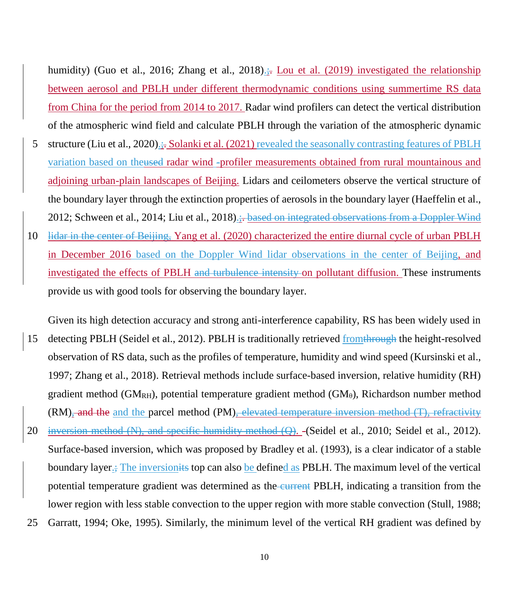humidity) (Guo et al., 2016; Zhang et al., 2018).; Lou et al. (2019) investigated the relationship between aerosol and PBLH under different thermodynamic conditions using summertime RS data from China for the period from 2014 to 2017. Radar wind profilers can detect the vertical distribution of the atmospheric wind field and calculate PBLH through the variation of the atmospheric dynamic

- 5 structure (Liu et al., 2020).;. Solanki et al. (2021) revealed the seasonally contrasting features of PBLH variation based on theused radar wind -profiler measurements obtained from rural mountainous and adjoining urban-plain landscapes of Beijing. Lidars and ceilometers observe the vertical structure of the boundary layer through the extinction properties of aerosols in the boundary layer (Haeffelin et al., 2012; Schween et al., 2014; Liu et al., 2018).:.- based on integrated observations from a Doppler Wind
- 10 lidar in the center of Beijing, Yang et al. (2020) characterized the entire diurnal cycle of urban PBLH in December 2016 based on the Doppler Wind lidar observations in the center of Beijing, and investigated the effects of PBLH and turbulence intensity on pollutant diffusion. These instruments provide us with good tools for observing the boundary layer.
- Given its high detection accuracy and strong anti-interference capability, RS has been widely used in 15 detecting PBLH (Seidel et al., 2012). PBLH is traditionally retrieved from through the height-resolved observation of RS data, such as the profiles of temperature, humidity and wind speed (Kursinski et al., 1997; Zhang et al., 2018). Retrieval methods include surface-based inversion, relative humidity (RH) gradient method (GM<sub>RH</sub>), potential temperature gradient method (GM $_{\theta}$ ), Richardson number method  $(RM)$ , and the and the parcel method  $(PM)$ , elevated temperature inversion method  $(T)$ , refractivity 20 inversion method  $(N)$ , and specific humidity method  $(Q)$ . (Seidel et al., 2010; Seidel et al., 2012). Surface-based inversion, which was proposed by Bradley et al. (1993), is a clear indicator of a stable boundary layer.; The inversionits top can also be defined as PBLH. The maximum level of the vertical potential temperature gradient was determined as the current PBLH, indicating a transition from the lower region with less stable convection to the upper region with more stable convection (Stull, 1988; 25 Garratt, 1994; Oke, 1995). Similarly, the minimum level of the vertical RH gradient was defined by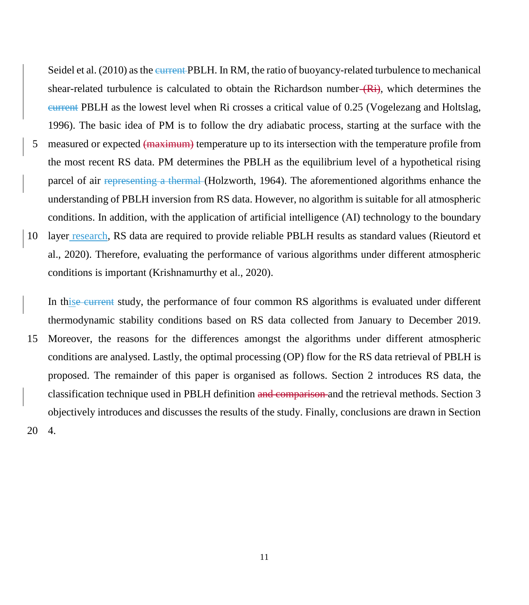Seidel et al. (2010) as the current PBLH. In RM, the ratio of buoyancy-related turbulence to mechanical shear-related turbulence is calculated to obtain the Richardson number  $(Ri)$ , which determines the current PBLH as the lowest level when Ri crosses a critical value of 0.25 (Vogelezang and Holtslag, 1996). The basic idea of PM is to follow the dry adiabatic process, starting at the surface with the

5 measured or expected (maximum) temperature up to its intersection with the temperature profile from the most recent RS data. PM determines the PBLH as the equilibrium level of a hypothetical rising parcel of air representing a thermal (Holzworth, 1964). The aforementioned algorithms enhance the understanding of PBLH inversion from RS data. However, no algorithm is suitable for all atmospheric conditions. In addition, with the application of artificial intelligence (AI) technology to the boundary 10 layer research, RS data are required to provide reliable PBLH results as standard values (Rieutord et al., 2020). Therefore, evaluating the performance of various algorithms under different atmospheric conditions is important (Krishnamurthy et al., 2020).

In this eeurrent study, the performance of four common RS algorithms is evaluated under different thermodynamic stability conditions based on RS data collected from January to December 2019. 15 Moreover, the reasons for the differences amongst the algorithms under different atmospheric conditions are analysed. Lastly, the optimal processing (OP) flow for the RS data retrieval of PBLH is proposed. The remainder of this paper is organised as follows. Section 2 introduces RS data, the classification technique used in PBLH definition and comparison and the retrieval methods. Section 3 objectively introduces and discusses the results of the study. Finally, conclusions are drawn in Section 20 4.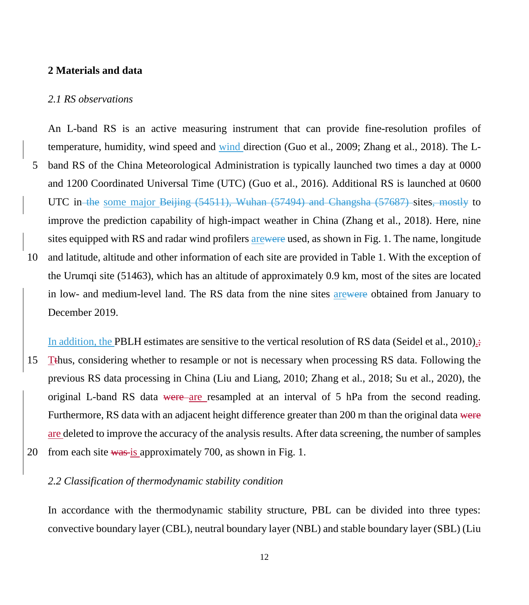#### **2 Materials and data**

#### *2.1 RS observations*

An L-band RS is an active measuring instrument that can provide fine-resolution profiles of temperature, humidity, wind speed and wind direction (Guo et al., 2009; Zhang et al., 2018). The L-5 band RS of the China Meteorological Administration is typically launched two times a day at 0000 and 1200 Coordinated Universal Time (UTC) (Guo et al., 2016). Additional RS is launched at 0600 UTC in the some major Beijing (54511), Wuhan (57494) and Changsha (57687) sites, mostly to improve the prediction capability of high-impact weather in China (Zhang et al., 2018). Here, nine sites equipped with RS and radar wind profilers arewere used, as shown in Fig. 1. The name, longitude 10 and latitude, altitude and other information of each site are provided in Table 1. With the exception of the Urumqi site (51463), which has an altitude of approximately 0.9 km, most of the sites are located in low- and medium-level land. The RS data from the nine sites arewere obtained from January to December 2019.

In addition, the PBLH estimates are sensitive to the vertical resolution of RS data (Seidel et al., 2010). 15 Tthus, considering whether to resample or not is necessary when processing RS data. Following the previous RS data processing in China (Liu and Liang, 2010; Zhang et al., 2018; Su et al., 2020), the original L-band RS data were are resampled at an interval of 5 hPa from the second reading. Furthermore, RS data with an adjacent height difference greater than 200 m than the original data were are deleted to improve the accuracy of the analysis results. After data screening, the number of samples 20 from each site was is approximately 700, as shown in Fig. 1.

### *2.2 Classification of thermodynamic stability condition*

In accordance with the thermodynamic stability structure, PBL can be divided into three types: convective boundary layer (CBL), neutral boundary layer (NBL) and stable boundary layer (SBL) (Liu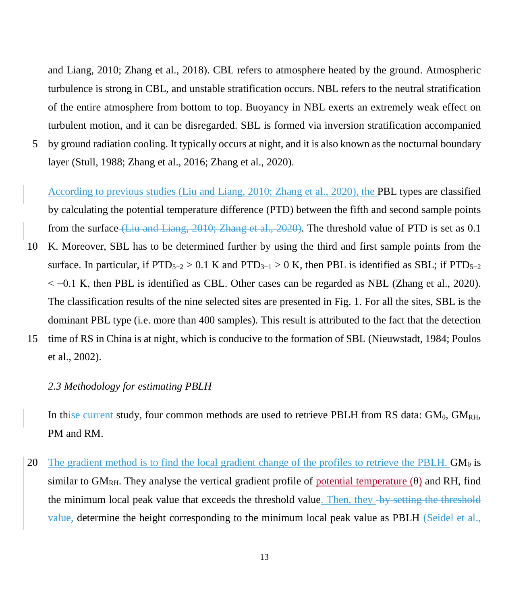and Liang, 2010; Zhang et al., 2018). CBL refers to atmosphere heated by the ground. Atmospheric turbulence is strong in CBL, and unstable stratification occurs. NBL refers to the neutral stratification of the entire atmosphere from bottom to top. Buoyancy in NBL exerts an extremely weak effect on turbulent motion, and it can be disregarded. SBL is formed via inversion stratification accompanied

5 by ground radiation cooling. It typically occurs at night, and it is also known as the nocturnal boundary layer (Stull, 1988; Zhang et al., 2016; Zhang et al., 2020).

According to previous studies (Liu and Liang, 2010; Zhang et al., 2020), the PBL types are classified by calculating the potential temperature difference (PTD) between the fifth and second sample points from the surface (Liu and Liang, 2010; Zhang et al., 2020). The threshold value of PTD is set as 0.1

10 K. Moreover, SBL has to be determined further by using the third and first sample points from the surface. In particular, if  $PTD_{5-2} > 0.1$  K and  $PTD_{3-1} > 0$  K, then PBL is identified as SBL; if  $PTD_{5-2}$  $\le$  -0.1 K, then PBL is identified as CBL. Other cases can be regarded as NBL (Zhang et al., 2020). The classification results of the nine selected sites are presented in Fig. 1. For all the sites, SBL is the dominant PBL type (i.e. more than 400 samples). This result is attributed to the fact that the detection 15 time of RS in China is at night, which is conducive to the formation of SBL (Nieuwstadt, 1984; Poulos

et al., 2002).

#### *2.3 Methodology for estimating PBLH*

In thise current study, four common methods are used to retrieve PBLH from RS data:  $GM_{\theta}$ ,  $GM_{RH}$ , PM and RM.

20 The gradient method is to find the local gradient change of the profiles to retrieve the PBLH.  $GM_\theta$  is similar to GM<sub>RH</sub>. They analyse the vertical gradient profile of potential temperature  $(\theta)$  and RH, find the minimum local peak value that exceeds the threshold value. Then, they by setting the threshold value, determine the height corresponding to the minimum local peak value as PBLH (Seidel et al.,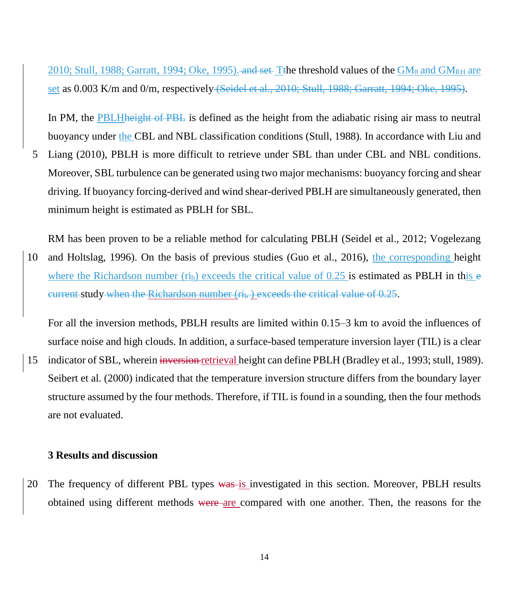2010; Stull, 1988; Garratt, 1994; Oke, 1995). and set Tthe threshold values of the  $GM_{\theta}$  and  $GM_{\text{RH}}$  are set as 0.003 K/m and 0/m, respectively (Seidel et al., 2010; Stull, 1988; Garratt, 1994; Oke, 1995).

In PM, the PBLH height of PBL is defined as the height from the adiabatic rising air mass to neutral buoyancy under the CBL and NBL classification conditions (Stull, 1988). In accordance with Liu and

5 Liang (2010), PBLH is more difficult to retrieve under SBL than under CBL and NBL conditions. Moreover, SBL turbulence can be generated using two major mechanisms: buoyancy forcing and shear driving. If buoyancy forcing-derived and wind shear-derived PBLH are simultaneously generated, then minimum height is estimated as PBLH for SBL.

RM has been proven to be a reliable method for calculating PBLH (Seidel et al., 2012; Vogelezang 10 and Holtslag, 1996). On the basis of previous studies (Guo et al., 2016), the corresponding height where the Richardson number  $(r_i)$  exceeds the critical value of 0.25 is estimated as PBLH in this e current study when the Richardson number  $(r_i)$  exceeds the critical value of 0.25.

For all the inversion methods, PBLH results are limited within 0.15–3 km to avoid the influences of surface noise and high clouds. In addition, a surface-based temperature inversion layer (TIL) is a clear

15 indicator of SBL, wherein inversion retrieval height can define PBLH (Bradley et al., 1993; stull, 1989). Seibert et al. (2000) indicated that the temperature inversion structure differs from the boundary layer structure assumed by the four methods. Therefore, if TIL is found in a sounding, then the four methods are not evaluated.

### **3 Results and discussion**

20 The frequency of different PBL types was is investigated in this section. Moreover, PBLH results obtained using different methods were are compared with one another. Then, the reasons for the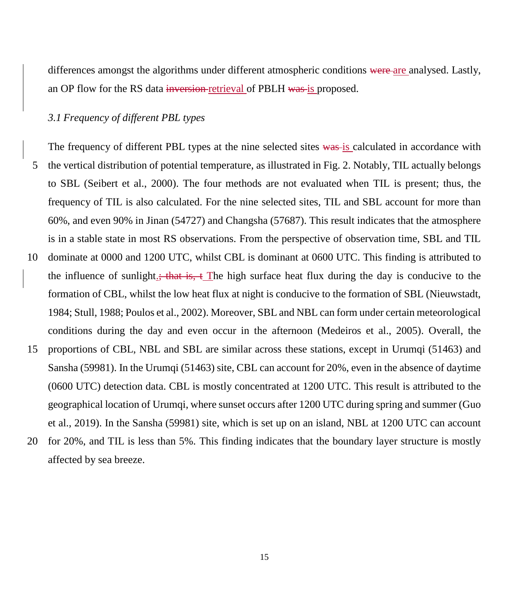differences amongst the algorithms under different atmospheric conditions were are analysed. Lastly, an OP flow for the RS data inversion-retrieval of PBLH was is proposed.

#### *3.1 Frequency of different PBL types*

The frequency of different PBL types at the nine selected sites was is calculated in accordance with 5 the vertical distribution of potential temperature, as illustrated in Fig. 2. Notably, TIL actually belongs to SBL (Seibert et al., 2000). The four methods are not evaluated when TIL is present; thus, the frequency of TIL is also calculated. For the nine selected sites, TIL and SBL account for more than 60%, and even 90% in Jinan (54727) and Changsha (57687). This result indicates that the atmosphere is in a stable state in most RS observations. From the perspective of observation time, SBL and TIL 10 dominate at 0000 and 1200 UTC, whilst CBL is dominant at 0600 UTC. This finding is attributed to the influence of sunlight.; that is,  $\pm$  The high surface heat flux during the day is conducive to the formation of CBL, whilst the low heat flux at night is conducive to the formation of SBL (Nieuwstadt, 1984; Stull, 1988; Poulos et al., 2002). Moreover, SBL and NBL can form under certain meteorological conditions during the day and even occur in the afternoon (Medeiros et al., 2005). Overall, the 15 proportions of CBL, NBL and SBL are similar across these stations, except in Urumqi (51463) and Sansha (59981). In the Urumqi (51463) site, CBL can account for 20%, even in the absence of daytime (0600 UTC) detection data. CBL is mostly concentrated at 1200 UTC. This result is attributed to the geographical location of Urumqi, where sunset occurs after 1200 UTC during spring and summer (Guo et al., 2019). In the Sansha (59981) site, which is set up on an island, NBL at 1200 UTC can account 20 for 20%, and TIL is less than 5%. This finding indicates that the boundary layer structure is mostly

affected by sea breeze.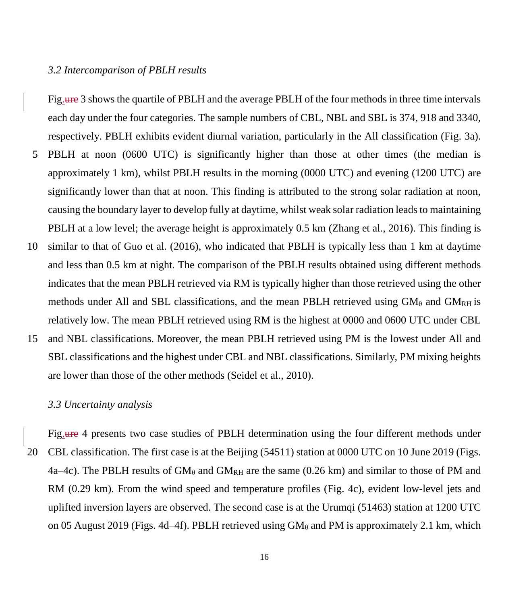### *3.2 Intercomparison of PBLH results*

Fig.ure 3 shows the quartile of PBLH and the average PBLH of the four methods in three time intervals each day under the four categories. The sample numbers of CBL, NBL and SBL is 374, 918 and 3340, respectively. PBLH exhibits evident diurnal variation, particularly in the All classification (Fig. 3a). 5 PBLH at noon (0600 UTC) is significantly higher than those at other times (the median is approximately 1 km), whilst PBLH results in the morning (0000 UTC) and evening (1200 UTC) are significantly lower than that at noon. This finding is attributed to the strong solar radiation at noon, causing the boundary layer to develop fully at daytime, whilst weak solar radiation leads to maintaining PBLH at a low level; the average height is approximately 0.5 km (Zhang et al., 2016). This finding is 10 similar to that of Guo et al. (2016), who indicated that PBLH is typically less than 1 km at daytime and less than 0.5 km at night. The comparison of the PBLH results obtained using different methods indicates that the mean PBLH retrieved via RM is typically higher than those retrieved using the other methods under All and SBL classifications, and the mean PBLH retrieved using  $GM_{\theta}$  and  $GM_{RH}$  is relatively low. The mean PBLH retrieved using RM is the highest at 0000 and 0600 UTC under CBL 15 and NBL classifications. Moreover, the mean PBLH retrieved using PM is the lowest under All and SBL classifications and the highest under CBL and NBL classifications. Similarly, PM mixing heights

#### *3.3 Uncertainty analysis*

are lower than those of the other methods (Seidel et al., 2010).

Fig.ure 4 presents two case studies of PBLH determination using the four different methods under 20 CBL classification. The first case is at the Beijing (54511) station at 0000 UTC on 10 June 2019 (Figs. 4a–4c). The PBLH results of  $GM_\theta$  and  $GM_{RH}$  are the same (0.26 km) and similar to those of PM and RM (0.29 km). From the wind speed and temperature profiles (Fig. 4c), evident low-level jets and uplifted inversion layers are observed. The second case is at the Urumqi (51463) station at 1200 UTC on 05 August 2019 (Figs. 4d–4f). PBLH retrieved using  $GM_\theta$  and PM is approximately 2.1 km, which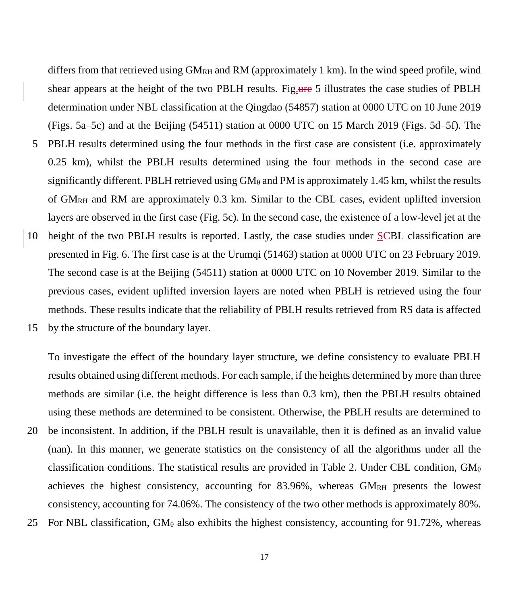differs from that retrieved using  $GM_{RH}$  and RM (approximately 1 km). In the wind speed profile, wind shear appears at the height of the two PBLH results. Fig. use 5 illustrates the case studies of PBLH determination under NBL classification at the Qingdao (54857) station at 0000 UTC on 10 June 2019 (Figs. 5a–5c) and at the Beijing (54511) station at 0000 UTC on 15 March 2019 (Figs. 5d–5f). The 5 PBLH results determined using the four methods in the first case are consistent (i.e. approximately 0.25 km), whilst the PBLH results determined using the four methods in the second case are significantly different. PBLH retrieved using  $GM_\theta$  and PM is approximately 1.45 km, whilst the results of  $GM<sub>RH</sub>$  and RM are approximately 0.3 km. Similar to the CBL cases, evident uplifted inversion layers are observed in the first case (Fig. 5c). In the second case, the existence of a low-level jet at the 10 height of the two PBLH results is reported. Lastly, the case studies under SCBL classification are presented in Fig. 6. The first case is at the Urumqi (51463) station at 0000 UTC on 23 February 2019. The second case is at the Beijing (54511) station at 0000 UTC on 10 November 2019. Similar to the previous cases, evident uplifted inversion layers are noted when PBLH is retrieved using the four methods. These results indicate that the reliability of PBLH results retrieved from RS data is affected

15 by the structure of the boundary layer.

To investigate the effect of the boundary layer structure, we define consistency to evaluate PBLH results obtained using different methods. For each sample, if the heights determined by more than three methods are similar (i.e. the height difference is less than 0.3 km), then the PBLH results obtained using these methods are determined to be consistent. Otherwise, the PBLH results are determined to 20 be inconsistent. In addition, if the PBLH result is unavailable, then it is defined as an invalid value (nan). In this manner, we generate statistics on the consistency of all the algorithms under all the classification conditions. The statistical results are provided in Table 2. Under CBL condition,  $GM_{\theta}$ achieves the highest consistency, accounting for  $83.96\%$ , whereas  $GM_{RH}$  presents the lowest consistency, accounting for 74.06%. The consistency of the two other methods is approximately 80%. 25 For NBL classification,  $GM_\theta$  also exhibits the highest consistency, accounting for 91.72%, whereas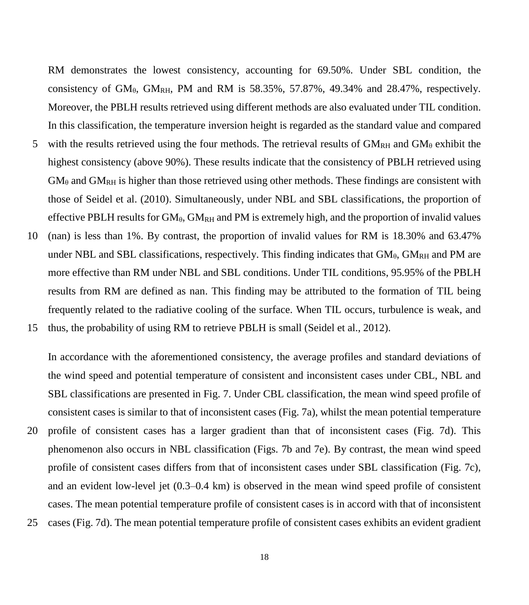RM demonstrates the lowest consistency, accounting for 69.50%. Under SBL condition, the consistency of  $GM_{\theta}$ ,  $GM_{RH}$ , PM and RM is 58.35%, 57.87%, 49.34% and 28.47%, respectively. Moreover, the PBLH results retrieved using different methods are also evaluated under TIL condition. In this classification, the temperature inversion height is regarded as the standard value and compared

- 5 with the results retrieved using the four methods. The retrieval results of  $GM<sub>RH</sub>$  and  $GM<sub>θ</sub>$  exhibit the highest consistency (above 90%). These results indicate that the consistency of PBLH retrieved using  $GM_{\theta}$  and  $GM_{RH}$  is higher than those retrieved using other methods. These findings are consistent with those of Seidel et al. (2010). Simultaneously, under NBL and SBL classifications, the proportion of effective PBLH results for  $GM_{\theta}$ ,  $GM_{RH}$  and PM is extremely high, and the proportion of invalid values
- 10 (nan) is less than 1%. By contrast, the proportion of invalid values for RM is 18.30% and 63.47% under NBL and SBL classifications, respectively. This finding indicates that  $GM<sub>θ</sub>$ ,  $GM<sub>RH</sub>$  and PM are more effective than RM under NBL and SBL conditions. Under TIL conditions, 95.95% of the PBLH results from RM are defined as nan. This finding may be attributed to the formation of TIL being frequently related to the radiative cooling of the surface. When TIL occurs, turbulence is weak, and

15 thus, the probability of using RM to retrieve PBLH is small (Seidel et al., 2012).

In accordance with the aforementioned consistency, the average profiles and standard deviations of the wind speed and potential temperature of consistent and inconsistent cases under CBL, NBL and SBL classifications are presented in Fig. 7. Under CBL classification, the mean wind speed profile of consistent cases is similar to that of inconsistent cases (Fig. 7a), whilst the mean potential temperature 20 profile of consistent cases has a larger gradient than that of inconsistent cases (Fig. 7d). This phenomenon also occurs in NBL classification (Figs. 7b and 7e). By contrast, the mean wind speed

profile of consistent cases differs from that of inconsistent cases under SBL classification (Fig. 7c), and an evident low-level jet (0.3–0.4 km) is observed in the mean wind speed profile of consistent cases. The mean potential temperature profile of consistent cases is in accord with that of inconsistent 25 cases (Fig. 7d). The mean potential temperature profile of consistent cases exhibits an evident gradient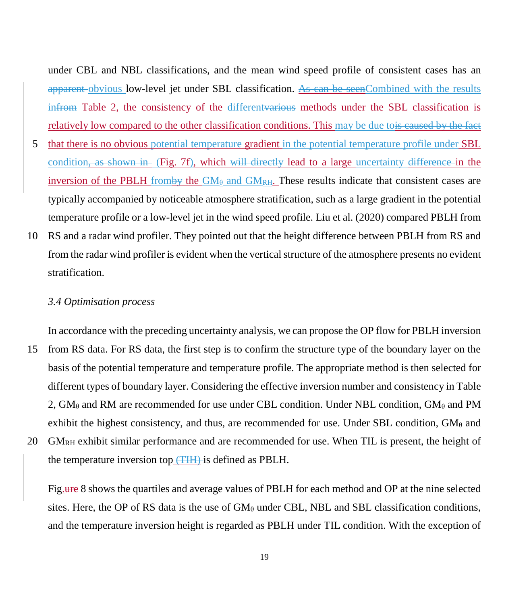under CBL and NBL classifications, and the mean wind speed profile of consistent cases has an apparent obvious low-level jet under SBL classification. As can be seenCombined with the results infrom Table 2, the consistency of the different various methods under the SBL classification is relatively low compared to the other classification conditions. This may be due to<del>is caused by the fact</del>

- 5 that there is no obvious potential temperature gradient in the potential temperature profile under SBL condition, as shown in (Fig. 7f), which will directly lead to a large uncertainty difference in the inversion of the PBLH from by the  $GM_\theta$  and  $GM_{RH}$ . These results indicate that consistent cases are typically accompanied by noticeable atmosphere stratification, such as a large gradient in the potential temperature profile or a low-level jet in the wind speed profile. Liu et al. (2020) compared PBLH from
- 10 RS and a radar wind profiler. They pointed out that the height difference between PBLH from RS and from the radar wind profiler is evident when the vertical structure of the atmosphere presents no evident stratification.

#### *3.4 Optimisation process*

In accordance with the preceding uncertainty analysis, we can propose the OP flow for PBLH inversion 15 from RS data. For RS data, the first step is to confirm the structure type of the boundary layer on the basis of the potential temperature and temperature profile. The appropriate method is then selected for different types of boundary layer. Considering the effective inversion number and consistency in Table 2,  $GM_\theta$  and RM are recommended for use under CBL condition. Under NBL condition,  $GM_\theta$  and PM exhibit the highest consistency, and thus, are recommended for use. Under SBL condition,  $GM_\theta$  and 20  $GM_{RH}$  exhibit similar performance and are recommended for use. When TIL is present, the height of

the temperature inversion top (TIH) is defined as PBLH.

Fig.ure 8 shows the quartiles and average values of PBLH for each method and OP at the nine selected sites. Here, the OP of RS data is the use of  $GM_\theta$  under CBL, NBL and SBL classification conditions, and the temperature inversion height is regarded as PBLH under TIL condition. With the exception of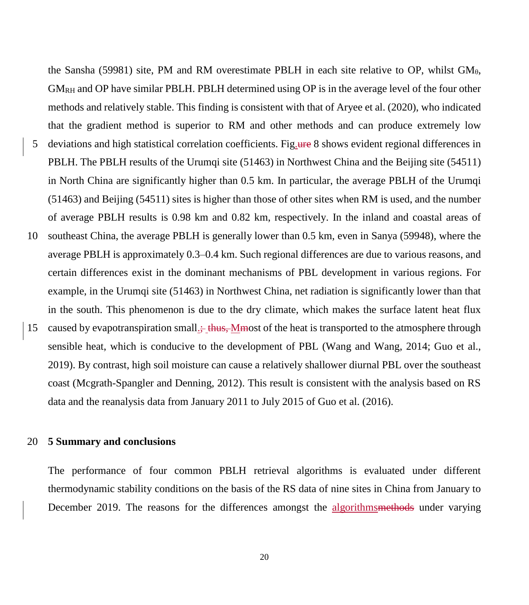the Sansha (59981) site, PM and RM overestimate PBLH in each site relative to OP, whilst  $GM_{\theta}$ , GMRH and OP have similar PBLH. PBLH determined using OP is in the average level of the four other methods and relatively stable. This finding is consistent with that of Aryee et al. (2020), who indicated that the gradient method is superior to RM and other methods and can produce extremely low 5 deviations and high statistical correlation coefficients. Fig.ure 8 shows evident regional differences in PBLH. The PBLH results of the Urumqi site (51463) in Northwest China and the Beijing site (54511) in North China are significantly higher than 0.5 km. In particular, the average PBLH of the Urumqi (51463) and Beijing (54511) sites is higher than those of other sites when RM is used, and the number of average PBLH results is 0.98 km and 0.82 km, respectively. In the inland and coastal areas of 10 southeast China, the average PBLH is generally lower than 0.5 km, even in Sanya (59948), where the average PBLH is approximately 0.3–0.4 km. Such regional differences are due to various reasons, and certain differences exist in the dominant mechanisms of PBL development in various regions. For example, in the Urumqi site (51463) in Northwest China, net radiation is significantly lower than that in the south. This phenomenon is due to the dry climate, which makes the surface latent heat flux 15 caused by evapotranspiration small.; thus, Mmost of the heat is transported to the atmosphere through sensible heat, which is conducive to the development of PBL (Wang and Wang, 2014; Guo et al., 2019). By contrast, high soil moisture can cause a relatively shallower diurnal PBL over the southeast coast (Mcgrath-Spangler and Denning, 2012). This result is consistent with the analysis based on RS data and the reanalysis data from January 2011 to July 2015 of Guo et al. (2016).

#### 20 **5 Summary and conclusions**

The performance of four common PBLH retrieval algorithms is evaluated under different thermodynamic stability conditions on the basis of the RS data of nine sites in China from January to December 2019. The reasons for the differences amongst the algorithmsmethods under varying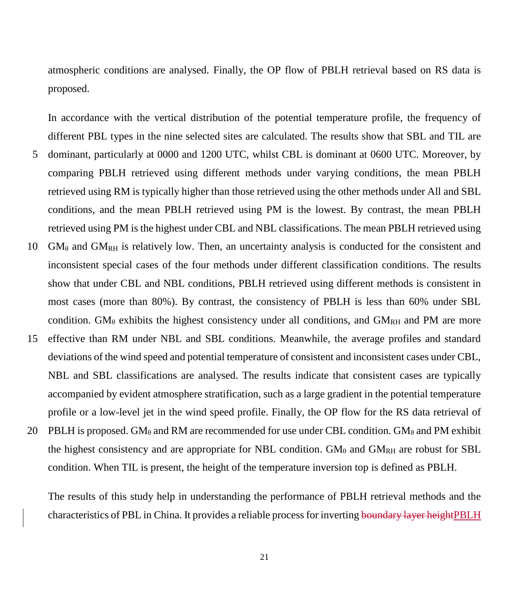atmospheric conditions are analysed. Finally, the OP flow of PBLH retrieval based on RS data is proposed.

In accordance with the vertical distribution of the potential temperature profile, the frequency of different PBL types in the nine selected sites are calculated. The results show that SBL and TIL are 5 dominant, particularly at 0000 and 1200 UTC, whilst CBL is dominant at 0600 UTC. Moreover, by comparing PBLH retrieved using different methods under varying conditions, the mean PBLH retrieved using RM is typically higher than those retrieved using the other methods under All and SBL conditions, and the mean PBLH retrieved using PM is the lowest. By contrast, the mean PBLH retrieved using PM is the highest under CBL and NBL classifications. The mean PBLH retrieved using 10  $GM_{\theta}$  and  $GM_{RH}$  is relatively low. Then, an uncertainty analysis is conducted for the consistent and inconsistent special cases of the four methods under different classification conditions. The results show that under CBL and NBL conditions, PBLH retrieved using different methods is consistent in most cases (more than 80%). By contrast, the consistency of PBLH is less than 60% under SBL condition. GM $_{\theta}$  exhibits the highest consistency under all conditions, and GM<sub>RH</sub> and PM are more 15 effective than RM under NBL and SBL conditions. Meanwhile, the average profiles and standard deviations of the wind speed and potential temperature of consistent and inconsistent cases under CBL, NBL and SBL classifications are analysed. The results indicate that consistent cases are typically accompanied by evident atmosphere stratification, such as a large gradient in the potential temperature profile or a low-level jet in the wind speed profile. Finally, the OP flow for the RS data retrieval of

20 PBLH is proposed. GM<sub>θ</sub> and RM are recommended for use under CBL condition. GM<sub>θ</sub> and PM exhibit the highest consistency and are appropriate for NBL condition.  $GM_\theta$  and  $GM_{RH}$  are robust for SBL condition. When TIL is present, the height of the temperature inversion top is defined as PBLH.

The results of this study help in understanding the performance of PBLH retrieval methods and the characteristics of PBL in China. It provides a reliable process for inverting boundary layer heightPBLH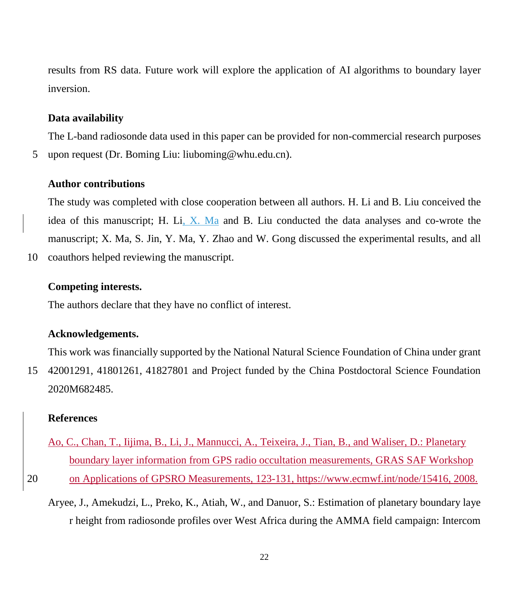results from RS data. Future work will explore the application of AI algorithms to boundary layer inversion.

#### **Data availability**

The L-band radiosonde data used in this paper can be provided for non-commercial research purposes 5 upon request (Dr. Boming Liu: liuboming@whu.edu.cn).

#### **Author contributions**

The study was completed with close cooperation between all authors. H. Li and B. Liu conceived the idea of this manuscript; H. Li, X. Ma and B. Liu conducted the data analyses and co-wrote the manuscript; X. Ma, S. Jin, Y. Ma, Y. Zhao and W. Gong discussed the experimental results, and all 10 coauthors helped reviewing the manuscript.

#### **Competing interests.**

The authors declare that they have no conflict of interest.

#### **Acknowledgements.**

This work was financially supported by the National Natural Science Foundation of China under grant 15 42001291, 41801261, 41827801 and Project funded by the China Postdoctoral Science Foundation 2020M682485.

#### **References**

- Ao, C., Chan, T., Iijima, B., Li, J., Mannucci, A., Teixeira, J., Tian, B., and Waliser, D.: Planetary boundary layer information from GPS radio occultation measurements, GRAS SAF Workshop
- 20 on Applications of GPSRO Measurements, 123-131, [https://www.ecmwf.int/node/15416,](https://www.ecmwf.int/node/15416) 2008.
	- Aryee, J., Amekudzi, L., Preko, K., Atiah, W., and Danuor, S.: Estimation of planetary boundary laye r height from radiosonde profiles over West Africa during the AMMA field campaign: Intercom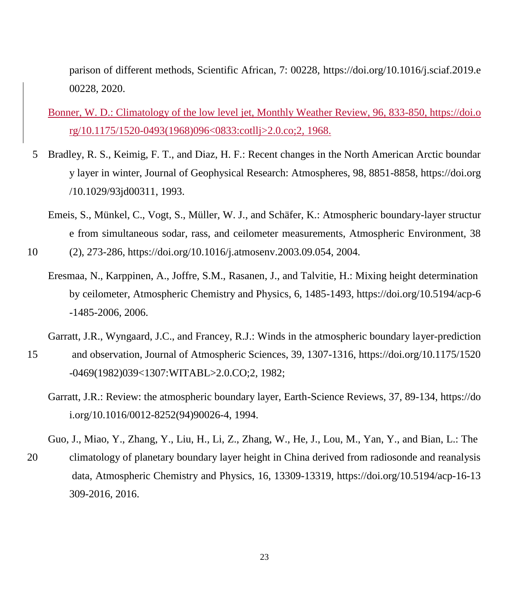parison of different methods, Scientific African, 7: 00228, https://doi.org/10.1016/j.sciaf.2019.e 00228, 2020.

### Bonner, W. D.: Climatology of the low level jet, Monthly Weather Review, 96, 833-850, https://doi.o rg/10.1175/1520-0493(1968)096<0833:cotllj>2.0.co;2, 1968.

- 5 Bradley, R. S., Keimig, F. T., and Diaz, H. F.: Recent changes in the North American Arctic boundar y layer in winter, Journal of Geophysical Research: Atmospheres, 98, 8851-8858, https://doi.org /10.1029/93jd00311, 1993.
	- Emeis, S., Münkel, C., Vogt, S., Müller, W. J., and Schäfer, K.: Atmospheric boundary-layer structur e from simultaneous sodar, rass, and ceilometer measurements, Atmospheric Environment, 38

10 (2), 273-286, https://doi.org/10.1016/j.atmosenv.2003.09.054, 2004.

- Eresmaa, N., Karppinen, A., Joffre, S.M., Rasanen, J., and Talvitie, H.: Mixing height determination by ceilometer, Atmospheric Chemistry and Physics, 6, 1485-1493, https://doi.org/10.5194/acp-6 -1485-2006, 2006.
- Garratt, J.R., Wyngaard, J.C., and Francey, R.J.: Winds in the atmospheric boundary layer-prediction
- 15 and observation, Journal of Atmospheric Sciences, 39, 1307-1316, https://doi.org/10.1175/1520 -0469(1982)039<1307:WITABL>2.0.CO;2, 1982;
	- Garratt, J.R.: Review: the atmospheric boundary layer, Earth-Science Reviews, 37, 89-134, https://do i.org/10.1016/0012-8252(94)90026-4, 1994.

Guo, J., Miao, Y., Zhang, Y., Liu, H., Li, Z., Zhang, W., He, J., Lou, M., Yan, Y., and Bian, L.: The

20 climatology of planetary boundary layer height in China derived from radiosonde and reanalysis data, Atmospheric Chemistry and Physics, 16, 13309-13319, https://doi.org/10.5194/acp-16-13 309-2016, 2016.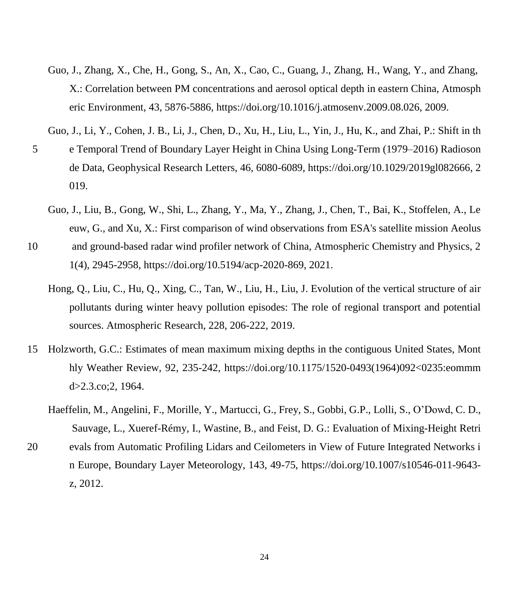- Guo, J., Zhang, X., Che, H., Gong, S., An, X., Cao, C., Guang, J., Zhang, H., Wang, Y., and Zhang, X.: Correlation between PM concentrations and aerosol optical depth in eastern China, Atmosph eric Environment, 43, 5876-5886, https://doi.org/10.1016/j.atmosenv.2009.08.026, 2009.
- Guo, J., Li, Y., Cohen, J. B., Li, J., Chen, D., Xu, H., Liu, L., Yin, J., Hu, K., and Zhai, P.: Shift in th
- 5 e Temporal Trend of Boundary Layer Height in China Using Long‐Term (1979–2016) Radioson de Data, Geophysical Research Letters, 46, 6080-6089, https://doi.org/10.1029/2019gl082666, 2 019.
	- Guo, J., Liu, B., Gong, W., Shi, L., Zhang, Y., Ma, Y., Zhang, J., Chen, T., Bai, K., Stoffelen, A., Le euw, G., and Xu, X.: First comparison of wind observations from ESA's satellite mission Aeolus
- 10 and ground-based radar wind profiler network of China, Atmospheric Chemistry and Physics, 2 1(4), 2945-2958, https://doi.org/10.5194/acp-2020-869, 2021.
	- Hong, Q., Liu, C., Hu, Q., Xing, C., Tan, W., Liu, H., Liu, J. Evolution of the vertical structure of air pollutants during winter heavy pollution episodes: The role of regional transport and potential sources. Atmospheric Research, 228, 206-222, 2019.
- 15 Holzworth, G.C.: Estimates of mean maximum mixing depths in the contiguous United States, Mont hly Weather Review, 92, 235-242, https://doi.org/10.1175/1520-0493(1964)092<0235:eommm d>2.3.co;2, 1964.
	- Haeffelin, M., Angelini, F., Morille, Y., Martucci, G., Frey, S., Gobbi, G.P., Lolli, S., O'Dowd, C. D., Sauvage, L., Xueref-Rémy, I., Wastine, B., and Feist, D. G.: Evaluation of Mixing-Height Retri
- 20 evals from Automatic Profiling Lidars and Ceilometers in View of Future Integrated Networks i n Europe, Boundary Layer Meteorology, 143, 49-75, https://doi.org/10.1007/s10546-011-9643 z, 2012.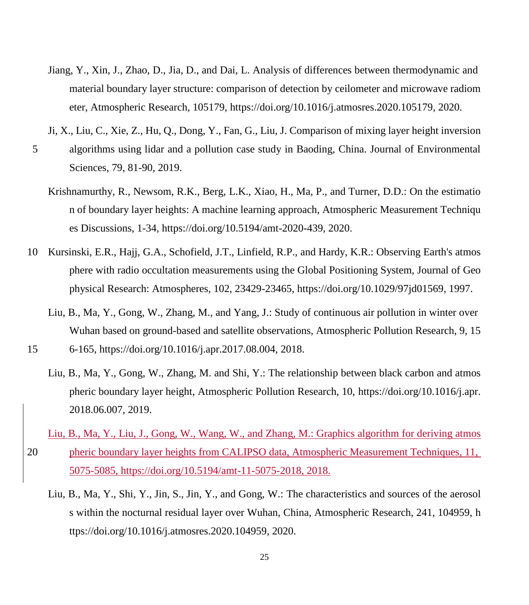- Jiang, Y., Xin, J., Zhao, D., Jia, D., and Dai, L. Analysis of differences between thermodynamic and material boundary layer structure: comparison of detection by ceilometer and microwave radiom eter, Atmospheric Research, 105179, https://doi.org/10.1016/j.atmosres.2020.105179, 2020.
- Ji, X., Liu, C., Xie, Z., Hu, Q., Dong, Y., Fan, G., Liu, J. Comparison of mixing layer height inversion
- 5 algorithms using lidar and a pollution case study in Baoding, China. Journal of Environmental Sciences, 79, 81-90, 2019.
	- Krishnamurthy, R., Newsom, R.K., Berg, L.K., Xiao, H., Ma, P., and Turner, D.D.: On the estimatio n of boundary layer heights: A machine learning approach, Atmospheric Measurement Techniqu es Discussions, 1-34, https://doi.org/10.5194/amt-2020-439, 2020.
- 10 Kursinski, E.R., Hajj, G.A., Schofield, J.T., Linfield, R.P., and Hardy, K.R.: Observing Earth's atmos phere with radio occultation measurements using the Global Positioning System, Journal of Geo physical Research: Atmospheres, 102, 23429-23465, https://doi.org/10.1029/97jd01569, 1997.
	- Liu, B., Ma, Y., Gong, W., Zhang, M., and Yang, J.: Study of continuous air pollution in winter over Wuhan based on ground-based and satellite observations, Atmospheric Pollution Research, 9, 15
- 15 6-165, https://doi.org/10.1016/j.apr.2017.08.004, 2018.
	- Liu, B., Ma, Y., Gong, W., Zhang, M. and Shi, Y.: The relationship between black carbon and atmos pheric boundary layer height, Atmospheric Pollution Research, 10, https://doi.org/10.1016/j.apr. 2018.06.007, 2019.
- Liu, B., Ma, Y., Liu, J., Gong, W., Wang, W., and Zhang, M.: Graphics algorithm for deriving atmos 20 pheric boundary layer heights from CALIPSO data, Atmospheric Measurement Techniques, 11, 5075-5085, https://doi.org/10.5194/amt-11-5075-2018, 2018.
	- Liu, B., Ma, Y., Shi, Y., Jin, S., Jin, Y., and Gong, W.: The characteristics and sources of the aerosol s within the nocturnal residual layer over Wuhan, China, Atmospheric Research, 241, 104959, h ttps://doi.org/10.1016/j.atmosres.2020.104959, 2020.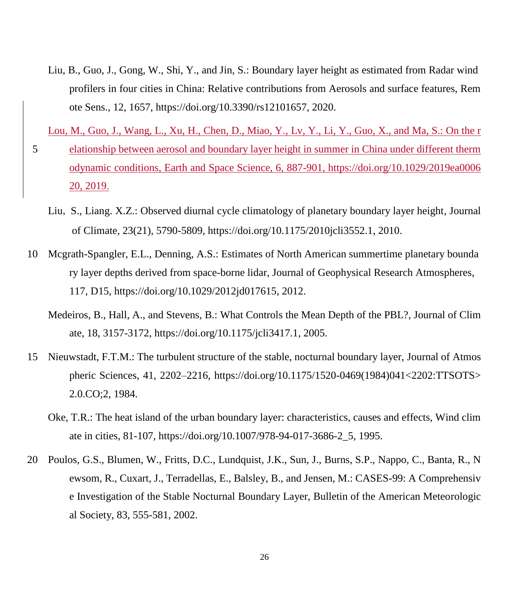Liu, B., Guo, J., Gong, W., Shi, Y., and Jin, S.: Boundary layer height as estimated from Radar wind profilers in four cities in China: Relative contributions from Aerosols and surface features, Rem ote Sens., 12, 1657, https://doi.org/10.3390/rs12101657, 2020.

Lou, M., Guo, J., Wang, L., Xu, H., Chen, D., Miao, Y., Lv, Y., Li, Y., Guo, X., and Ma, S.: On the r

- 5 elationship between aerosol and boundary layer height in summer in China under different therm odynamic conditions, Earth and Space Science, 6, 887-901, https://doi.org/10.1029/2019ea0006 20, 2019.
	- Liu, S., Liang. X.Z.: Observed diurnal cycle climatology of planetary boundary layer height, Journal of Climate, 23(21), 5790-5809, https://doi.org/10.1175/2010jcli3552.1, 2010.
- 10 Mcgrath-Spangler, E.L., Denning, A.S.: Estimates of North American summertime planetary bounda ry layer depths derived from space-borne lidar, Journal of Geophysical Research Atmospheres, 117, D15, https://doi.org/10.1029/2012jd017615, 2012.
	- Medeiros, B., Hall, A., and Stevens, B.: What Controls the Mean Depth of the PBL?, Journal of Clim ate, 18, 3157-3172, https://doi.org/10.1175/jcli3417.1, 2005.
- 15 Nieuwstadt, F.T.M.: The turbulent structure of the stable, nocturnal boundary layer, Journal of Atmos pheric Sciences, 41, 2202–2216, https://doi.org/10.1175/1520-0469(1984)041<2202:TTSOTS> 2.0.CO;2, 1984.
	- Oke, T.R.: The heat island of the urban boundary layer: characteristics, causes and effects, Wind clim ate in cities, 81-107, https://doi.org/10.1007/978-94-017-3686-2\_5, 1995.
- 20 Poulos, G.S., Blumen, W., Fritts, D.C., Lundquist, J.K., Sun, J., Burns, S.P., Nappo, C., Banta, R., N ewsom, R., Cuxart, J., Terradellas, E., Balsley, B., and Jensen, M.: CASES-99: A Comprehensiv e Investigation of the Stable Nocturnal Boundary Layer, Bulletin of the American Meteorologic al Society, 83, 555-581, 2002.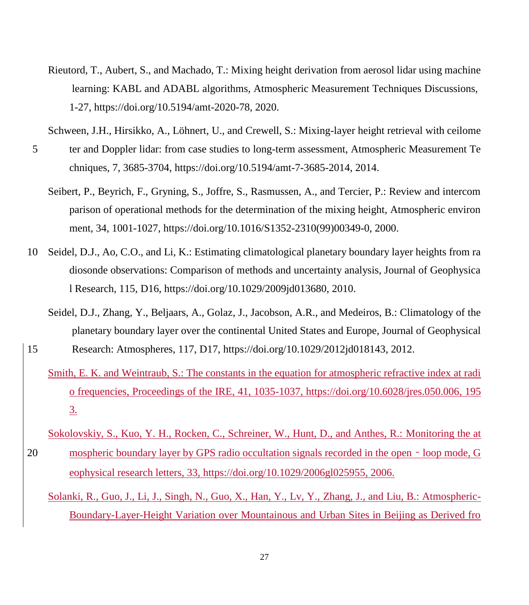- Rieutord, T., Aubert, S., and Machado, T.: Mixing height derivation from aerosol lidar using machine learning: KABL and ADABL algorithms, Atmospheric Measurement Techniques Discussions, 1-27, https://doi.org/10.5194/amt-2020-78, 2020.
- Schween, J.H., Hirsikko, A., Löhnert, U., and Crewell, S.: Mixing-layer height retrieval with ceilome
- 5 ter and Doppler lidar: from case studies to long-term assessment, Atmospheric Measurement Te chniques, 7, 3685-3704, https://doi.org/10.5194/amt-7-3685-2014, 2014.
	- Seibert, P., Beyrich, F., Gryning, S., Joffre, S., Rasmussen, A., and Tercier, P.: Review and intercom parison of operational methods for the determination of the mixing height, Atmospheric environ ment, 34, 1001-1027, https://doi.org/10.1016/S1352-2310(99)00349-0, 2000.
- 10 Seidel, D.J., Ao, C.O., and Li, K.: Estimating climatological planetary boundary layer heights from ra diosonde observations: Comparison of methods and uncertainty analysis, Journal of Geophysica l Research, 115, D16, https://doi.org/10.1029/2009jd013680, 2010.
- Seidel, D.J., Zhang, Y., Beljaars, A., Golaz, J., Jacobson, A.R., and Medeiros, B.: Climatology of the planetary boundary layer over the continental United States and Europe, Journal of Geophysical 15 Research: Atmospheres, 117, D17, https://doi.org/10.1029/2012jd018143, 2012.
	- Smith, E. K. and Weintraub, S.: The constants in the equation for atmospheric refractive index at radi o frequencies, Proceedings of the IRE, 41, 1035-1037, https://doi.org/10.6028/jres.050.006, 195 3.
- Sokolovskiy, S., Kuo, Y. H., Rocken, C., Schreiner, W., Hunt, D., and Anthes, R.: Monitoring the at 20 mospheric boundary layer by GPS radio occultation signals recorded in the open - loop mode, G eophysical research letters, 33, https://doi.org/10.1029/2006gl025955, 2006.
	- Solanki, R., Guo, J., Li, J., Singh, N., Guo, X., Han, Y., Lv, Y., Zhang, J., and Liu, B.: Atmospheric-Boundary-Layer-Height Variation over Mountainous and Urban Sites in Beijing as Derived fro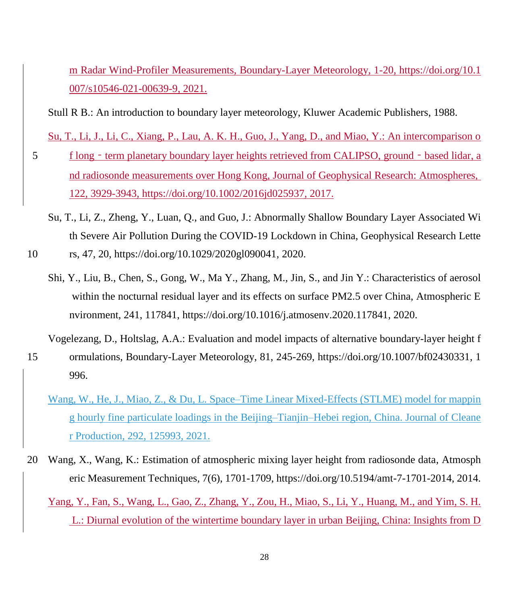m Radar Wind-Profiler Measurements, Boundary-Layer Meteorology, 1-20, https://doi.org/10.1 007/s10546-021-00639-9, 2021.

Stull R B.: An introduction to boundary layer meteorology, Kluwer Academic Publishers, 1988.

Su, T., Li, J., Li, C., Xiang, P., Lau, A. K. H., Guo, J., Yang, D., and Miao, Y.: An intercomparison o

- 5 f long term planetary boundary layer heights retrieved from CALIPSO, ground based lidar, a nd radiosonde measurements over Hong Kong, Journal of Geophysical Research: Atmospheres, 122, 3929-3943, https://doi.org/10.1002/2016jd025937, 2017.
	- Su, T., Li, Z., Zheng, Y., Luan, Q., and Guo, J.: Abnormally Shallow Boundary Layer Associated Wi th Severe Air Pollution During the COVID‐19 Lockdown in China, Geophysical Research Lette
- 10 rs, 47, 20, https://doi.org/10.1029/2020gl090041, 2020.
	- Shi, Y., Liu, B., Chen, S., Gong, W., Ma Y., Zhang, M., Jin, S., and Jin Y.: Characteristics of aerosol within the nocturnal residual layer and its effects on surface PM2.5 over China, Atmospheric E nvironment, 241, 117841, https://doi.org/10.1016/j.atmosenv.2020.117841, 2020.

Vogelezang, D., Holtslag, A.A.: Evaluation and model impacts of alternative boundary-layer height f

- 15 ormulations, Boundary-Layer Meteorology, 81, 245-269, https://doi.org/10.1007/bf02430331, 1 996.
	- Wang, W., He, J., Miao, Z., & Du, L. Space–Time Linear Mixed-Effects (STLME) model for mappin g hourly fine particulate loadings in the Beijing–Tianjin–Hebei region, China. Journal of Cleane r Production, 292, 125993, 2021.
- 20 Wang, X., Wang, K.: Estimation of atmospheric mixing layer height from radiosonde data, Atmosph eric Measurement Techniques, 7(6), 1701-1709, https://doi.org/10.5194/amt-7-1701-2014, 2014.

Yang, Y., Fan, S., Wang, L., Gao, Z., Zhang, Y., Zou, H., Miao, S., Li, Y., Huang, M., and Yim, S. H. L.: Diurnal evolution of the wintertime boundary layer in urban Beijing, China: Insights from D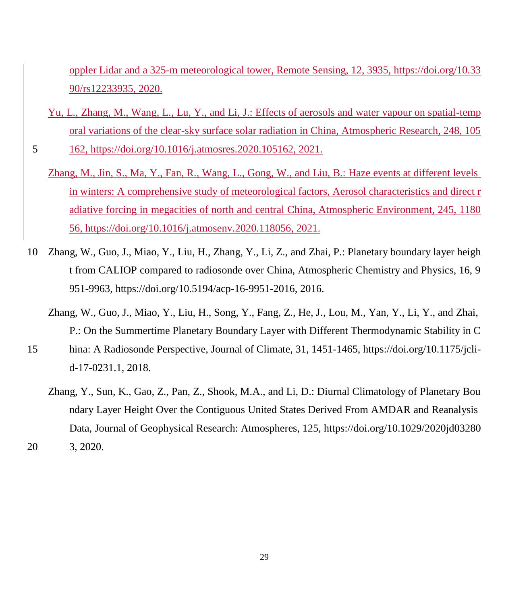oppler Lidar and a 325-m meteorological tower, Remote Sensing, 12, 3935, https://doi.org/10.33 90/rs12233935, 2020.

Yu, L., Zhang, M., Wang, L., Lu, Y., and Li, J.: Effects of aerosols and water vapour on spatial-temp oral variations of the clear-sky surface solar radiation in China, Atmospheric Research, 248, 105

5 162, https://doi.org/10.1016/j.atmosres.2020.105162, 2021.

- Zhang, M., Jin, S., Ma, Y., Fan, R., Wang, L., Gong, W., and Liu, B.: Haze events at different levels in winters: A comprehensive study of meteorological factors, Aerosol characteristics and direct r adiative forcing in megacities of north and central China, Atmospheric Environment, 245, 1180 56, https://doi.org/10.1016/j.atmosenv.2020.118056, 2021.
- 10 Zhang, W., Guo, J., Miao, Y., Liu, H., Zhang, Y., Li, Z., and Zhai, P.: Planetary boundary layer heigh t from CALIOP compared to radiosonde over China, Atmospheric Chemistry and Physics, 16, 9 951-9963, https://doi.org/10.5194/acp-16-9951-2016, 2016.
	- Zhang, W., Guo, J., Miao, Y., Liu, H., Song, Y., Fang, Z., He, J., Lou, M., Yan, Y., Li, Y., and Zhai, P.: On the Summertime Planetary Boundary Layer with Different Thermodynamic Stability in C
- 15 hina: A Radiosonde Perspective, Journal of Climate, 31, 1451-1465, https://doi.org/10.1175/jclid-17-0231.1, 2018.
	- Zhang, Y., Sun, K., Gao, Z., Pan, Z., Shook, M.A., and Li, D.: Diurnal Climatology of Planetary Bou ndary Layer Height Over the Contiguous United States Derived From AMDAR and Reanalysis Data, Journal of Geophysical Research: Atmospheres, 125, https://doi.org/10.1029/2020jd03280

20 3, 2020.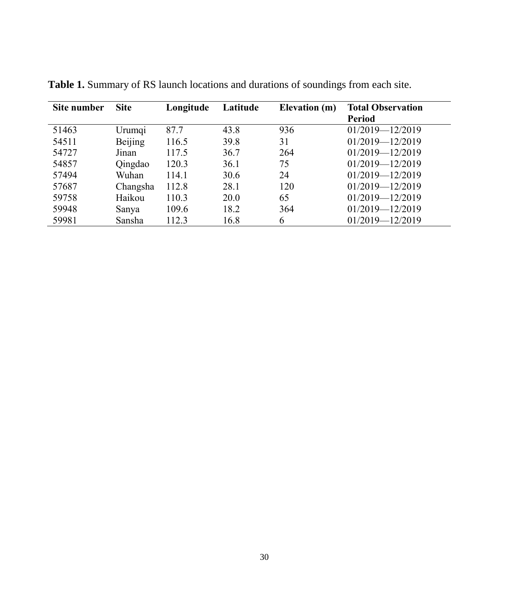| Site number | <b>Site</b> | Longitude | Latitude | Elevation (m) | <b>Total Observation</b><br><b>Period</b> |
|-------------|-------------|-----------|----------|---------------|-------------------------------------------|
| 51463       | Urumqi      | 87.7      | 43.8     | 936           | $01/2019 - 12/2019$                       |
| 54511       | Beijing     | 116.5     | 39.8     | 31            | $01/2019 - 12/2019$                       |
| 54727       | Jinan       | 117.5     | 36.7     | 264           | $01/2019 - 12/2019$                       |
| 54857       | Qingdao     | 120.3     | 36.1     | 75            | $01/2019 - 12/2019$                       |
| 57494       | Wuhan       | 114.1     | 30.6     | 24            | $01/2019 - 12/2019$                       |
| 57687       | Changsha    | 112.8     | 28.1     | 120           | $01/2019 - 12/2019$                       |
| 59758       | Haikou      | 110.3     | 20.0     | 65            | $01/2019 - 12/2019$                       |
| 59948       | Sanya       | 109.6     | 18.2     | 364           | $01/2019 - 12/2019$                       |
| 59981       | Sansha      | 112.3     | 16.8     | 6             | 01/2019-12/2019                           |

**Table 1.** Summary of RS launch locations and durations of soundings from each site.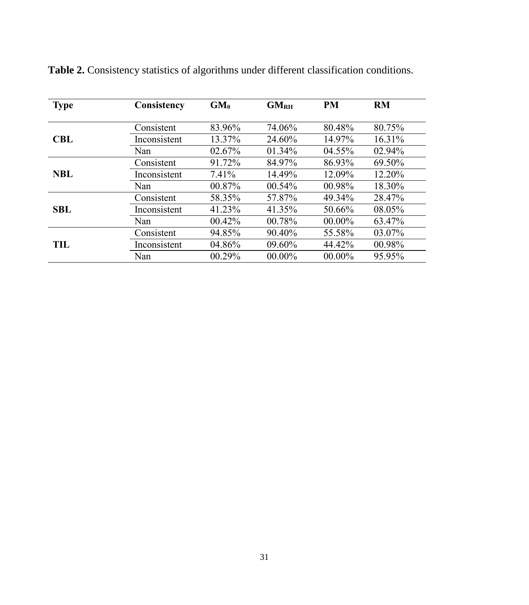| <b>Type</b> | Consistency  | $GM_{\theta}$ | GM <sub>RH</sub> | PM        | RM     |
|-------------|--------------|---------------|------------------|-----------|--------|
|             |              |               |                  |           |        |
|             | Consistent   | 83.96%        | 74.06%           | 80.48%    | 80.75% |
| <b>CBL</b>  | Inconsistent | 13.37%        | 24.60%           | 14.97%    | 16.31% |
|             | Nan          | 02.67%        | 01.34%           | 04.55%    | 02.94% |
|             | Consistent   | 91.72%        | 84.97%           | 86.93%    | 69.50% |
| <b>NBL</b>  | Inconsistent | 7.41%         | 14.49%           | 12.09%    | 12.20% |
|             | Nan          | 00.87%        | 00.54%           | 00.98%    | 18.30% |
|             | Consistent   | 58.35%        | 57.87%           | 49.34%    | 28.47% |
| <b>SBL</b>  | Inconsistent | 41.23%        | 41.35%           | 50.66%    | 08.05% |
|             | Nan          | 00.42%        | 00.78%           | 00.00%    | 63.47% |
|             | Consistent   | 94.85%        | 90.40%           | 55.58%    | 03.07% |
| TIL         | Inconsistent | 04.86%        | 09.60%           | 44.42%    | 00.98% |
|             | Nan          | 00.29%        | $00.00\%$        | $00.00\%$ | 95.95% |

**Table 2.** Consistency statistics of algorithms under different classification conditions.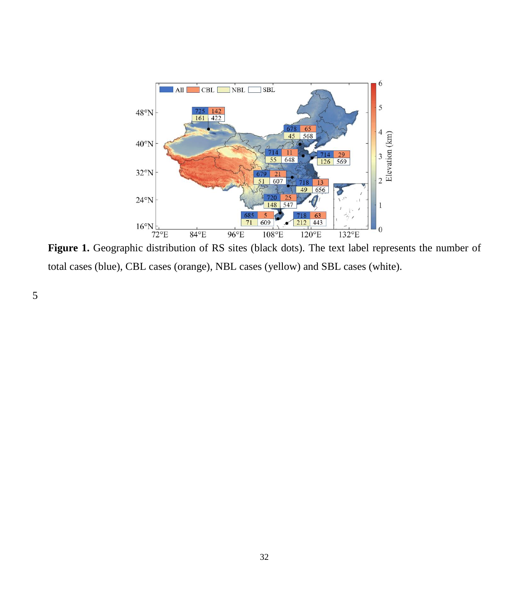

total cases (blue), CBL cases (orange), NBL cases (yellow) and SBL cases (white).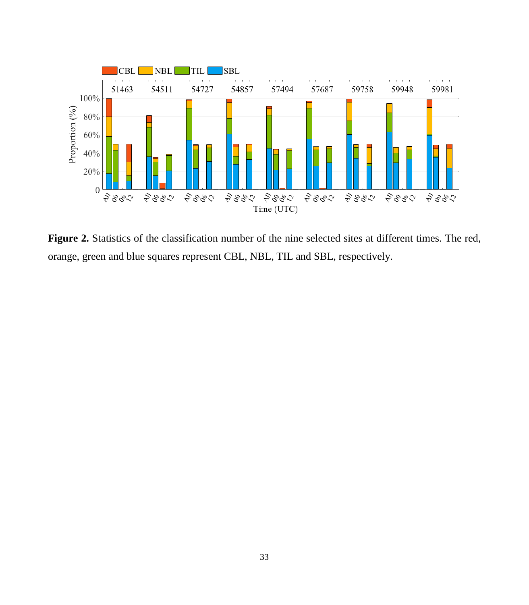

**Figure 2.** Statistics of the classification number of the nine selected sites at different times. The red, orange, green and blue squares represent CBL, NBL, TIL and SBL, respectively.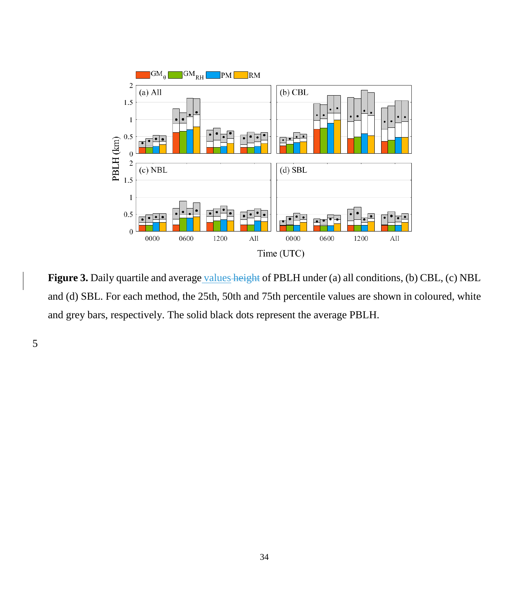

Figure 3. Daily quartile and average values height of PBLH under (a) all conditions, (b) CBL, (c) NBL and (d) SBL. For each method, the 25th, 50th and 75th percentile values are shown in coloured, white and grey bars, respectively. The solid black dots represent the average PBLH.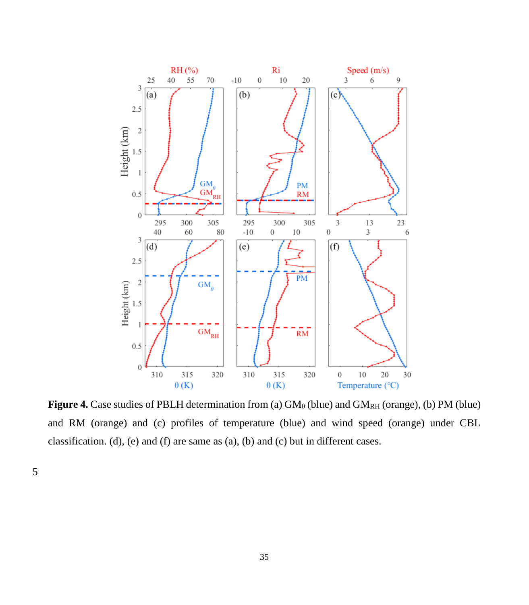

**Figure 4.** Case studies of PBLH determination from (a)  $GM_\theta$  (blue) and  $GM_{RH}$  (orange), (b) PM (blue) and RM (orange) and (c) profiles of temperature (blue) and wind speed (orange) under CBL classification. (d), (e) and (f) are same as (a), (b) and (c) but in different cases.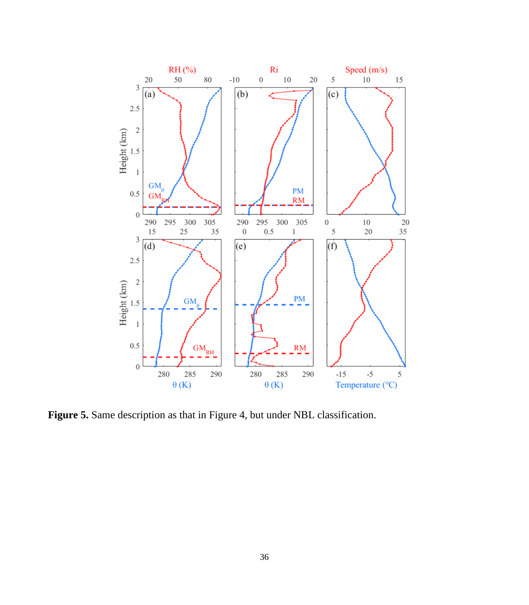

Figure 5. Same description as that in Figure 4, but under NBL classification.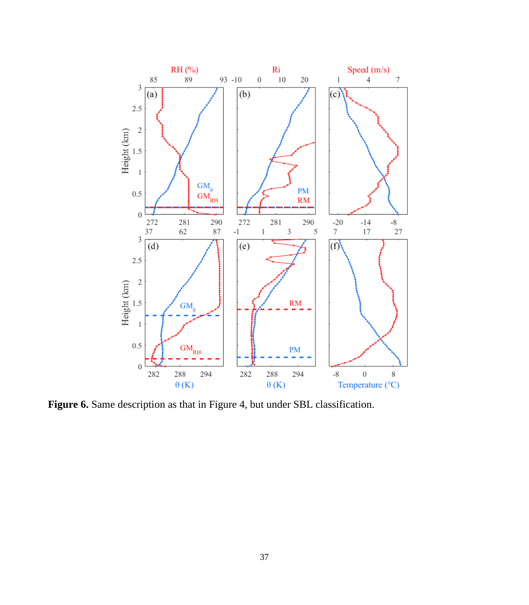

Figure 6. Same description as that in Figure 4, but under SBL classification.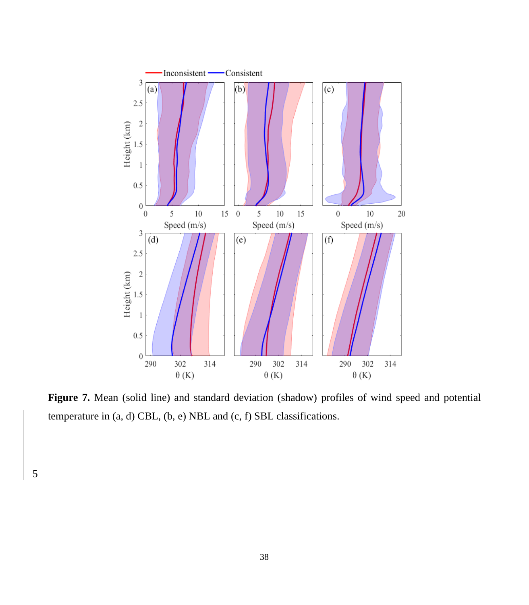

Figure 7. Mean (solid line) and standard deviation (shadow) profiles of wind speed and potential temperature in (a, d) CBL, (b, e) NBL and (c, f) SBL classifications.